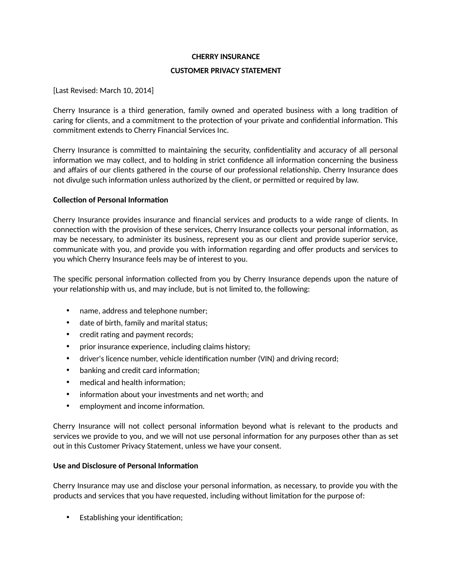## **CHERRY INSURANCE**

## **CUSTOMER PRIVACY STATEMENT**

[Last Revised: March 10, 2014]

Cherry Insurance is a third generation, family owned and operated business with a long tradition of caring for clients, and a commitment to the protection of your private and confidential information. This commitment extends to Cherry Financial Services Inc.

Cherry Insurance is commited to maintaining the security, confdentality and accuracy of all personal information we may collect, and to holding in strict confidence all information concerning the business and affairs of our clients gathered in the course of our professional relationship. Cherry Insurance does not divulge such information unless authorized by the client, or permitted or required by law.

## **Collection of Personal Information**

Cherry Insurance provides insurance and fnancial services and products to a wide range of clients. In connection with the provision of these services, Cherry Insurance collects your personal information, as may be necessary, to administer its business, represent you as our client and provide superior service, communicate with you, and provide you with informaton regarding and ofer products and services to you which Cherry Insurance feels may be of interest to you.

The specific personal information collected from you by Cherry Insurance depends upon the nature of your relationship with us, and may include, but is not limited to, the following:

- name, address and telephone number;
- date of birth, family and marital status;
- credit rating and payment records;
- prior insurance experience, including claims history;
- driver's licence number, vehicle identification number (VIN) and driving record;
- banking and credit card information;
- medical and health information;
- information about your investments and net worth; and
- employment and income information.

Cherry Insurance will not collect personal information beyond what is relevant to the products and services we provide to you, and we will not use personal information for any purposes other than as set out in this Customer Privacy Statement, unless we have your consent.

#### **Use and Disclosure of Personal Informaton**

Cherry Insurance may use and disclose your personal information, as necessary, to provide you with the products and services that you have requested, including without limitaton for the purpose of:

Establishing your identification;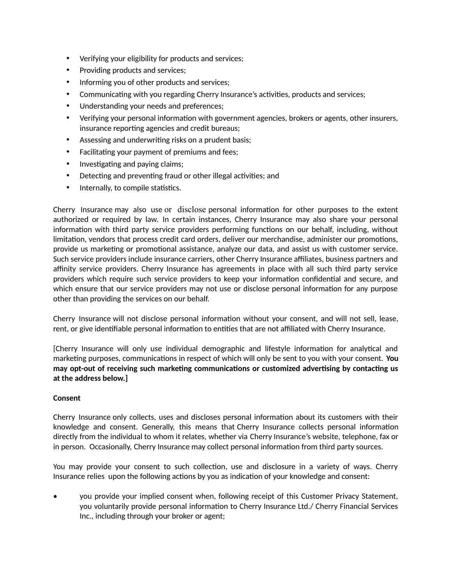- Verifying your eligibility for products and services;
- Providing products and services;
- Informing you of other products and services;
- Communicating with you regarding Cherry Insurance's activities, products and services;
- Understanding your needs and preferences;
- Verifying your personal information with government agencies, brokers or agents, other insurers, insurance reporting agencies and credit bureaus;
- Assessing and underwriting risks on a prudent basis;
- Facilitating your payment of premiums and fees;
- Investigating and paying claims;
- Detecting and preventing fraud or other illegal activities; and
- Internally, to compile statistics.

Cherry Insurance may also use or disclose personal informaton for other purposes to the extent authorized or required by law. In certain instances, Cherry Insurance may also share your personal information with third party service providers performing functions on our behalf, including, without limitation, vendors that process credit card orders, deliver our merchandise, administer our promotions, provide us marketng or promotonal assistance, analyze our data, and assist us with customer service. Such service providers include insurance carriers, other Cherry Insurance afliates, business partners and affinity service providers. Cherry Insurance has agreements in place with all such third party service providers which require such service providers to keep your informaton confdental and secure, and which ensure that our service providers may not use or disclose personal information for any purpose other than providing the services on our behalf.

Cherry Insurance will not disclose personal informaton without your consent, and will not sell, lease, rent, or give identifiable personal information to entities that are not affiliated with Cherry Insurance.

[Cherry Insurance will only use individual demographic and lifestyle informaton for analytcal and marketing purposes, communications in respect of which will only be sent to you with your consent. **You** may opt-out of receiving such marketing communications or customized advertising by contacting us **at the address below.]** 

## **Consent**

Cherry Insurance only collects, uses and discloses personal information about its customers with their knowledge and consent. Generally, this means that Cherry Insurance collects personal informaton directly from the individual to whom it relates, whether via Cherry Insurance's website, telephone, fax or in person. Occasionally, Cherry Insurance may collect personal information from third party sources.

You may provide your consent to such collecton, use and disclosure in a variety of ways. Cherry Insurance relies upon the following actions by you as indication of your knowledge and consent:

• you provide your implied consent when, following receipt of this Customer Privacy Statement, you voluntarily provide personal information to Cherry Insurance Ltd./ Cherry Financial Services Inc., including through your broker or agent;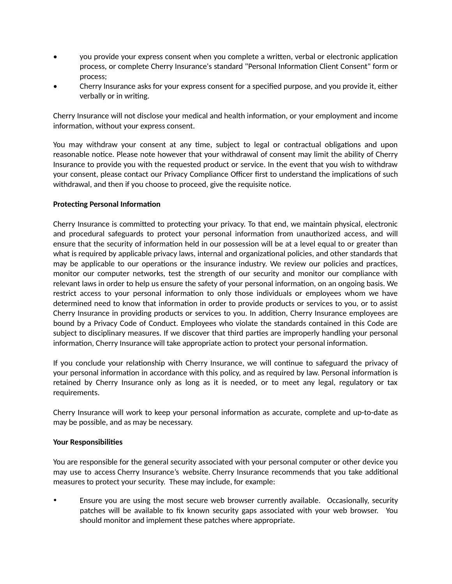- you provide your express consent when you complete a writen, verbal or electronic applicaton process, or complete Cherry Insurance's standard "Personal Information Client Consent" form or process;
- Cherry Insurance asks for your express consent for a specifed purpose, and you provide it, either verbally or in writing.

Cherry Insurance will not disclose your medical and health informaton, or your employment and income information, without your express consent.

You may withdraw your consent at any time, subject to legal or contractual obligations and upon reasonable notice. Please note however that your withdrawal of consent may limit the ability of Cherry Insurance to provide you with the requested product or service. In the event that you wish to withdraw your consent, please contact our Privacy Compliance Officer first to understand the implications of such withdrawal, and then if you choose to proceed, give the requisite notice.

## **Protecting Personal Information**

Cherry Insurance is committed to protecting your privacy. To that end, we maintain physical, electronic and procedural safeguards to protect your personal information from unauthorized access, and will ensure that the security of information held in our possession will be at a level equal to or greater than what is required by applicable privacy laws, internal and organizational policies, and other standards that may be applicable to our operations or the insurance industry. We review our policies and practices, monitor our computer networks, test the strength of our security and monitor our compliance with relevant laws in order to help us ensure the safety of your personal information, on an ongoing basis. We restrict access to your personal information to only those individuals or employees whom we have determined need to know that information in order to provide products or services to you, or to assist Cherry Insurance in providing products or services to you. In additon, Cherry Insurance employees are bound by a Privacy Code of Conduct. Employees who violate the standards contained in this Code are subject to disciplinary measures. If we discover that third partes are improperly handling your personal information, Cherry Insurance will take appropriate action to protect your personal information.

If you conclude your relationship with Cherry Insurance, we will continue to safeguard the privacy of your personal informaton in accordance with this policy, and as required by law. Personal informaton is retained by Cherry Insurance only as long as it is needed, or to meet any legal, regulatory or tax requirements.

Cherry Insurance will work to keep your personal information as accurate, complete and up-to-date as may be possible, and as may be necessary.

#### **Your Responsibilites**

You are responsible for the general security associated with your personal computer or other device you may use to access Cherry Insurance's website. Cherry Insurance recommends that you take additonal measures to protect your security. These may include, for example:

 Ensure you are using the most secure web browser currently available. Occasionally, security patches will be available to fix known security gaps associated with your web browser. You should monitor and implement these patches where appropriate.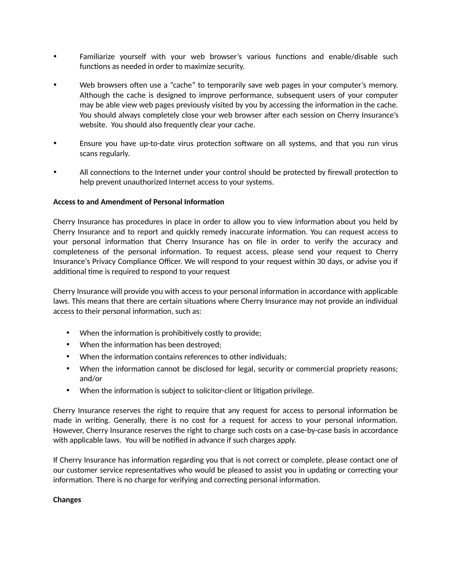- Familiarize yourself with your web browser's various functions and enable/disable such functions as needed in order to maximize security.
- Web browsers often use a "cache" to temporarily save web pages in your computer's memory. Although the cache is designed to improve performance, subsequent users of your computer may be able view web pages previously visited by you by accessing the information in the cache. You should always completely close your web browser after each session on Cherry Insurance's website. You should also frequently clear your cache.
- Ensure you have up-to-date virus protecton sofware on all systems, and that you run virus scans regularly.
- All connections to the Internet under your control should be protected by firewall protection to help prevent unauthorized Internet access to your systems.

## **Access to and Amendment of Personal Informaton**

Cherry Insurance has procedures in place in order to allow you to view information about you held by Cherry Insurance and to report and quickly remedy inaccurate information. You can request access to your personal information that Cherry Insurance has on file in order to verify the accuracy and completeness of the personal information. To request access, please send your request to Cherry Insurance's Privacy Compliance Officer. We will respond to your request within 30 days, or advise you if additional time is required to respond to your request

Cherry Insurance will provide you with access to your personal information in accordance with applicable laws. This means that there are certain situations where Cherry Insurance may not provide an individual access to their personal information, such as:

- When the information is prohibitively costly to provide;
- When the information has been destroyed;
- When the information contains references to other individuals;
- When the information cannot be disclosed for legal, security or commercial propriety reasons; and/or
- When the information is subject to solicitor-client or litigation privilege.

Cherry Insurance reserves the right to require that any request for access to personal informaton be made in writng. Generally, there is no cost for a request for access to your personal informaton. However, Cherry Insurance reserves the right to charge such costs on a case-by-case basis in accordance with applicable laws. You will be notified in advance if such charges apply.

If Cherry Insurance has information regarding you that is not correct or complete, please contact one of our customer service representatives who would be pleased to assist you in updating or correcting your information. There is no charge for verifying and correcting personal information.

#### **Changes**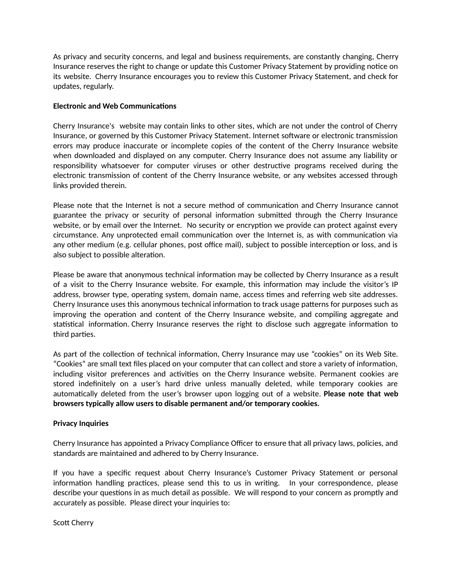As privacy and security concerns, and legal and business requirements, are constantly changing, Cherry Insurance reserves the right to change or update this Customer Privacy Statement by providing notice on its website. Cherry Insurance encourages you to review this Customer Privacy Statement, and check for updates, regularly.

# **Electronic and Web Communications**

Cherry Insurance's website may contain links to other sites, which are not under the control of Cherry Insurance, or governed by this Customer Privacy Statement. Internet sofware or electronic transmission errors may produce inaccurate or incomplete copies of the content of the Cherry Insurance website when downloaded and displayed on any computer. Cherry Insurance does not assume any liability or responsibility whatsoever for computer viruses or other destructive programs received during the electronic transmission of content of the Cherry Insurance website, or any websites accessed through links provided therein.

Please note that the Internet is not a secure method of communication and Cherry Insurance cannot guarantee the privacy or security of personal information submitted through the Cherry Insurance website, or by email over the Internet. No security or encryption we provide can protect against every circumstance. Any unprotected email communication over the Internet is, as with communication via any other medium (e.g. cellular phones, post office mail), subject to possible interception or loss, and is also subject to possible alteration.

Please be aware that anonymous technical information may be collected by Cherry Insurance as a result of a visit to the Cherry Insurance website. For example, this informaton may include the visitor's IP address, browser type, operating system, domain name, access times and referring web site addresses. Cherry Insurance uses this anonymous technical information to track usage patterns for purposes such as improving the operation and content of the Cherry Insurance website, and compiling aggregate and statistical information. Cherry Insurance reserves the right to disclose such aggregate information to third parties.

As part of the collection of technical information, Cherry Insurance may use "cookies" on its Web Site. "Cookies" are small text fles placed on your computer that can collect and store a variety of informaton, including visitor preferences and activities on the Cherry Insurance website. Permanent cookies are stored indefnitely on a user's hard drive unless manually deleted, while temporary cookies are automatically deleted from the user's browser upon logging out of a website. **Please note that web browsers typically allow users to disable permanent and/or temporary cookies.**

# **Privacy Inquiries**

Cherry Insurance has appointed a Privacy Compliance Officer to ensure that all privacy laws, policies, and standards are maintained and adhered to by Cherry Insurance.

If you have a specifc request about Cherry Insurance's Customer Privacy Statement or personal information handling practices, please send this to us in writing. In your correspondence, please describe your questions in as much detail as possible. We will respond to your concern as promptly and accurately as possible. Please direct your inquiries to:

Scott Cherry